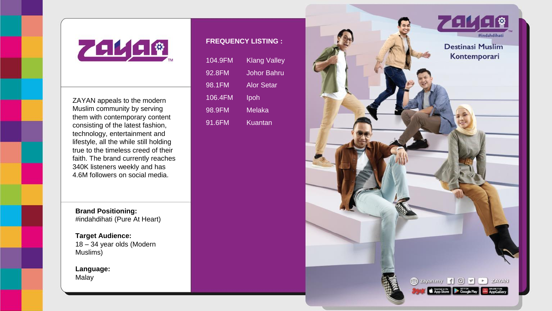

ZAYAN appeals to the modern Muslim community by serving them with contemporary content consisting of the latest fashion, technology, entertainment and lifestyle, all the while still holding true to the timeless creed of their faith. The brand currently reaches 340K listeners weekly and has 4.6M followers on social media.

**Brand Positioning:** #indahdihati (Pure At Heart)

**Target Audience:** 18 – 34 year olds (Modern Muslims)

**Language:** Malay

## **FREQUENCY LISTING :**

| 104.9FM | <b>Klang Valley</b> |
|---------|---------------------|
| 92.8FM  | Johor Bahru         |
| 98.1FM  | Alor Setar          |
| 106.4FM | Ipoh                |
| 98.9FM  | Melaka              |
| 91.6FM  | Kuantan             |

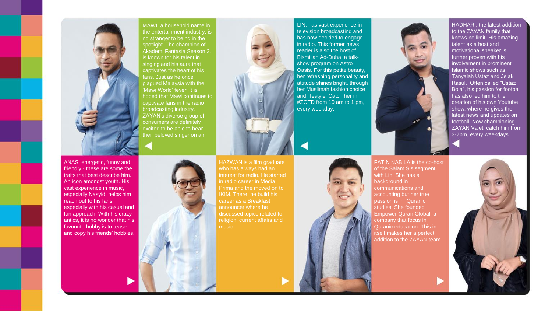

MAWI, a household name in the entertainment industry, is no stranger to being in the spotlight. The champion of Akademi Fantasia Season 3, is known for his talent in singing and his aura that captivates the heart of his fans. Just as he once plagued Malaysia with the .<br>'Mawi World' fever, it is . hoped that Mawi continues to captivate fans in the radio broadcasting industry. ZAYAN's diverse group of consumers are definitely excited to be able to hear their beloved singer on air.



HAZWAN is a film graduate who has always had an interest for radio. He started in radio career in Media Prima and the moved on to IKIM. There, he build his career as a Breakfast announcer where he discussed topics related to religion, current affairs and

LIN, has vast experience in television broadcasting and has now decided to engage in radio. This former news reader is also the host of Bismillah Ad-Duha, a talkshow program on Astro Oasis. For this petite beauty, her refreshing personality and attitude shines bright, through her Muslimah fashion choice and lifestyle. Catch her in #ZOTD from 10 am to 1 pm, every weekday.



FATIN NABILA is the co-host of the Salam Sis segment with Lin. She has a background in communications and accounting but her true passion is in Quranic studies. She founded Empower Quran Global; a company that focus in Quranic education. This in itself makes her a perfect addition to the ZAYAN team.

HADHARI, the latest addition to the ZAYAN family that knows no limit. His amazing talent as a host and motivational speaker is further proven with his involvement in prominent Islamic shows such as Tanyalah Ustaz and Jejak Rasul. Often called "Ustaz Bola", his passion for football has also led him to the creation of his own Youtube show, where he gives the latest news and updates on football. Now championing ZAYAN Valet, catch him from 3-7pm, every weekdays.